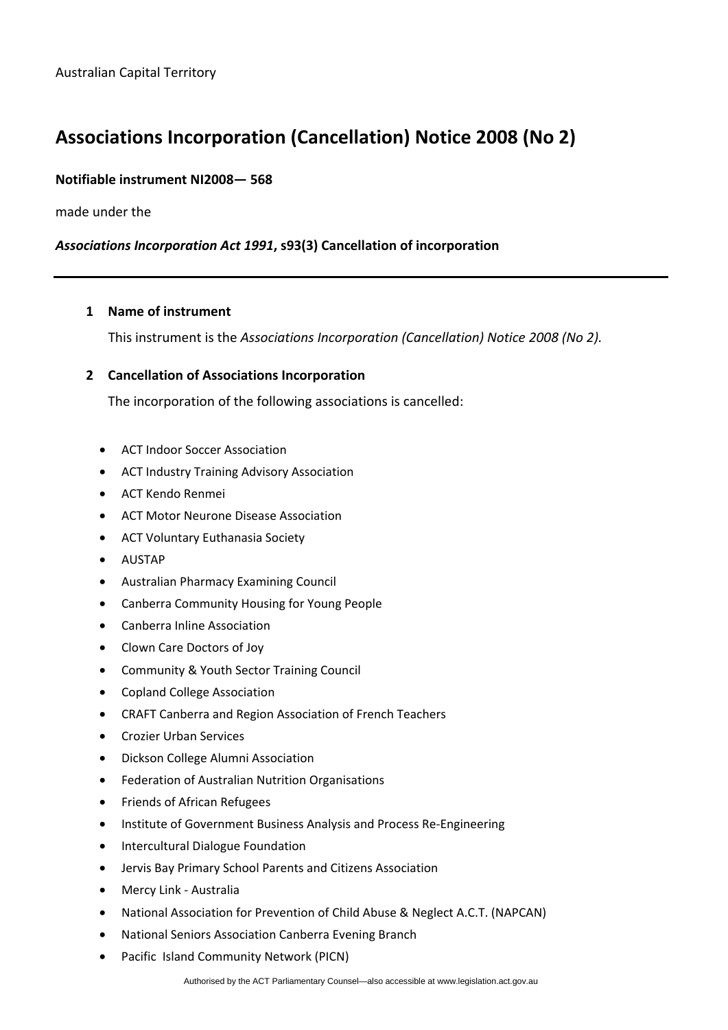# **Associations Incorporation (Cancellation) Notice 2008 (No 2)**

## **Notifiable instrument NI2008— 568**

made under the

## *Associations Incorporation Act 1991***, s93(3) Cancellation of incorporation**

#### **1 Name of instrument**

This instrument is the *Associations Incorporation (Cancellation) Notice 2008 (No 2).* 

#### **2 Cancellation of Associations Incorporation**

The incorporation of the following associations is cancelled:

- ACT Indoor Soccer Association
- ACT Industry Training Advisory Association
- ACT Kendo Renmei
- ACT Motor Neurone Disease Association
- ACT Voluntary Euthanasia Society
- AUSTAP
- Australian Pharmacy Examining Council
- Canberra Community Housing for Young People
- Canberra Inline Association
- Clown Care Doctors of Joy
- Community & Youth Sector Training Council
- Copland College Association
- CRAFT Canberra and Region Association of French Teachers
- Crozier Urban Services
- Dickson College Alumni Association
- Federation of Australian Nutrition Organisations
- Friends of African Refugees
- Institute of Government Business Analysis and Process Re-Engineering
- Intercultural Dialogue Foundation
- Jervis Bay Primary School Parents and Citizens Association
- Mercy Link Australia
- National Association for Prevention of Child Abuse & Neglect A.C.T. (NAPCAN)
- National Seniors Association Canberra Evening Branch
- Pacific Island Community Network (PICN)